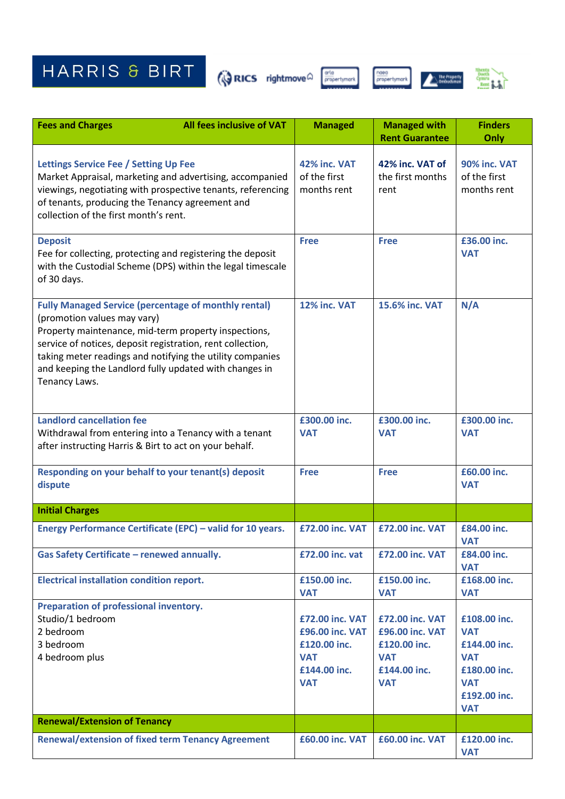HARRIS & BIRT GRICS rightmove a projectymore content of the state of the state of the state of the state of the state of the state of the state of the state of the state of the state of the state of the state of the state







| <b>Fees and Charges</b>                                                                                                                                                                                                                                                                                                                                  | All fees inclusive of VAT                                                                                               | <b>Managed</b>                              | <b>Managed with</b><br><b>Rent Guarantee</b> | <b>Finders</b><br>Only                      |
|----------------------------------------------------------------------------------------------------------------------------------------------------------------------------------------------------------------------------------------------------------------------------------------------------------------------------------------------------------|-------------------------------------------------------------------------------------------------------------------------|---------------------------------------------|----------------------------------------------|---------------------------------------------|
| <b>Lettings Service Fee / Setting Up Fee</b><br>of tenants, producing the Tenancy agreement and<br>collection of the first month's rent.                                                                                                                                                                                                                 | Market Appraisal, marketing and advertising, accompanied<br>viewings, negotiating with prospective tenants, referencing | 42% inc. VAT<br>of the first<br>months rent | 42% inc. VAT of<br>the first months<br>rent  | 90% inc. VAT<br>of the first<br>months rent |
| <b>Deposit</b><br>Fee for collecting, protecting and registering the deposit<br>of 30 days.                                                                                                                                                                                                                                                              | with the Custodial Scheme (DPS) within the legal timescale                                                              | <b>Free</b>                                 | <b>Free</b>                                  | £36.00 inc.<br><b>VAT</b>                   |
| <b>Fully Managed Service (percentage of monthly rental)</b><br>(promotion values may vary)<br>Property maintenance, mid-term property inspections,<br>service of notices, deposit registration, rent collection,<br>taking meter readings and notifying the utility companies<br>and keeping the Landlord fully updated with changes in<br>Tenancy Laws. |                                                                                                                         | 12% inc. VAT                                | 15.6% inc. VAT                               | N/A                                         |
| <b>Landlord cancellation fee</b><br>Withdrawal from entering into a Tenancy with a tenant<br>after instructing Harris & Birt to act on your behalf.                                                                                                                                                                                                      |                                                                                                                         | £300.00 inc.<br><b>VAT</b>                  | £300.00 inc.<br><b>VAT</b>                   | £300.00 inc.<br><b>VAT</b>                  |
| Responding on your behalf to your tenant(s) deposit<br>dispute                                                                                                                                                                                                                                                                                           |                                                                                                                         | <b>Free</b>                                 | <b>Free</b>                                  | £60.00 inc.<br><b>VAT</b>                   |
| <b>Initial Charges</b>                                                                                                                                                                                                                                                                                                                                   |                                                                                                                         |                                             |                                              |                                             |
| Energy Performance Certificate (EPC) - valid for 10 years.                                                                                                                                                                                                                                                                                               |                                                                                                                         | <b>£72.00 inc. VAT</b>                      | £72.00 inc. VAT                              | £84.00 inc.<br><b>VAT</b>                   |
| <b>Gas Safety Certificate - renewed annually.</b>                                                                                                                                                                                                                                                                                                        |                                                                                                                         | £72.00 inc. vat                             | <b>£72.00 inc. VAT</b>                       | £84.00 inc.<br><b>VAT</b>                   |
| <b>Electrical installation condition report.</b>                                                                                                                                                                                                                                                                                                         |                                                                                                                         | £150.00 inc.<br><b>VAT</b>                  | £150.00 inc.<br><b>VAT</b>                   | £168.00 inc.<br><b>VAT</b>                  |
| Preparation of professional inventory.<br>Studio/1 bedroom                                                                                                                                                                                                                                                                                               |                                                                                                                         | <b>£72.00 inc. VAT</b>                      | <b>£72.00 inc. VAT</b>                       | £108.00 inc.                                |
| 2 bedroom                                                                                                                                                                                                                                                                                                                                                |                                                                                                                         | £96.00 inc. VAT                             | £96.00 inc. VAT                              | <b>VAT</b>                                  |
| 3 bedroom                                                                                                                                                                                                                                                                                                                                                |                                                                                                                         | £120.00 inc.                                | £120.00 inc.                                 | £144.00 inc.                                |
| 4 bedroom plus                                                                                                                                                                                                                                                                                                                                           |                                                                                                                         | <b>VAT</b>                                  | <b>VAT</b>                                   | <b>VAT</b>                                  |
|                                                                                                                                                                                                                                                                                                                                                          |                                                                                                                         | £144.00 inc.                                | £144.00 inc.                                 | £180.00 inc.                                |
|                                                                                                                                                                                                                                                                                                                                                          |                                                                                                                         | <b>VAT</b>                                  | <b>VAT</b>                                   | <b>VAT</b>                                  |
|                                                                                                                                                                                                                                                                                                                                                          |                                                                                                                         |                                             |                                              | £192.00 inc.<br><b>VAT</b>                  |
| <b>Renewal/Extension of Tenancy</b>                                                                                                                                                                                                                                                                                                                      |                                                                                                                         |                                             |                                              |                                             |
| <b>Renewal/extension of fixed term Tenancy Agreement</b>                                                                                                                                                                                                                                                                                                 |                                                                                                                         | <b>£60.00 inc. VAT</b>                      | <b>£60.00 inc. VAT</b>                       | £120.00 inc.<br><b>VAT</b>                  |